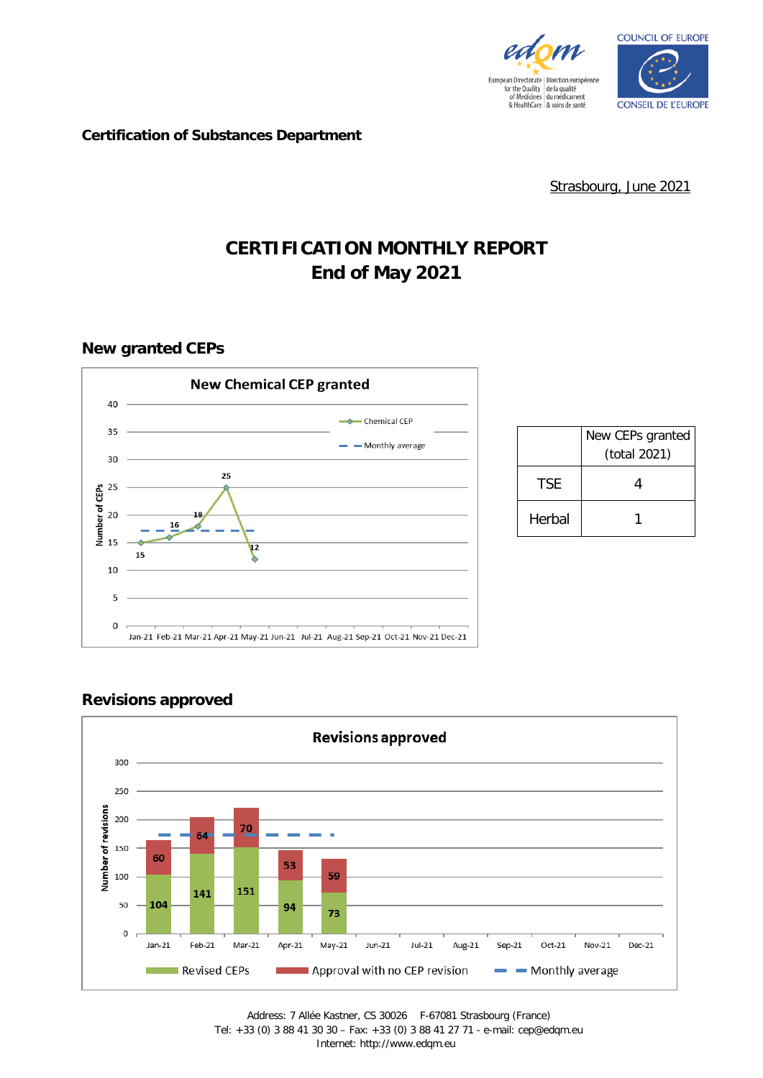



#### **Certification of Substances Department**

Strasbourg, June 2021

# **CERTIFICATION MONTHLY REPORT End of May 2021**

# **New granted CEPs**



|            | New CEPs granted<br>(total 2021) |
|------------|----------------------------------|
| <b>TSF</b> |                                  |
| Herbal     |                                  |

# **Revisions approved**

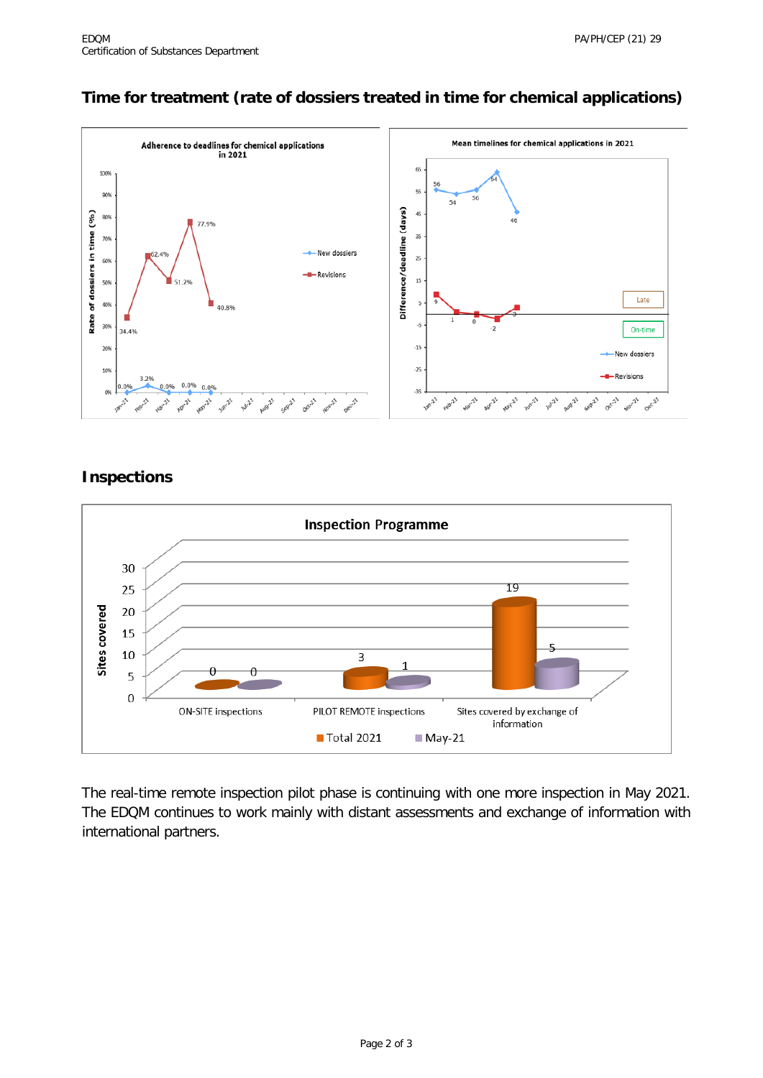# **Time for treatment (rate of dossiers treated in time for chemical applications)**



#### **Inspections**



The real-time remote inspection pilot phase is continuing with one more inspection in May 2021. The EDQM continues to work mainly with distant assessments and exchange of information with international partners.